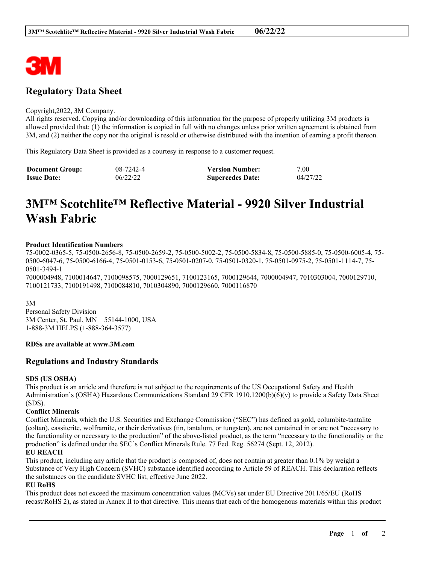

# **Regulatory Data Sheet**

#### Copyright,2022, 3M Company.

All rights reserved. Copying and/or downloading of this information for the purpose of properly utilizing 3M products is allowed provided that: (1) the information is copied in full with no changes unless prior written agreement is obtained from 3M, and (2) neither the copy nor the original is resold or otherwise distributed with the intention of earning a profit thereon.

This Regulatory Data Sheet is provided as a courtesy in response to a customer request.

| <b>Document Group:</b> | 08-7242-4 | <b>Version Number:</b>  | 7.00     |
|------------------------|-----------|-------------------------|----------|
| <b>Issue Date:</b>     | 06/22/22  | <b>Supercedes Date:</b> | 04/27/22 |

# **3M™ Scotchlite™ Reflective Material - 9920 Silver Industrial Wash Fabric**

#### **Product Identification Numbers**

75-0002-0365-5, 75-0500-2656-8, 75-0500-2659-2, 75-0500-5002-2, 75-0500-5834-8, 75-0500-5885-0, 75-0500-6005-4, 75- 0500-6047-6, 75-0500-6166-4, 75-0501-0153-6, 75-0501-0207-0, 75-0501-0320-1, 75-0501-0975-2, 75-0501-1114-7, 75- 0501-3494-1

7000004948, 7100014647, 7100098575, 7000129651, 7100123165, 7000129644, 7000004947, 7010303004, 7000129710, 7100121733, 7100191498, 7100084810, 7010304890, 7000129660, 7000116870

3M

Personal Safety Division 3M Center, St. Paul, MN 55144-1000, USA 1-888-3M HELPS (1-888-364-3577)

## **RDSs are available at www.3M.com**

# **Regulations and Industry Standards**

#### **SDS (US OSHA)**

This product is an article and therefore is not subject to the requirements of the US Occupational Safety and Health Administration's (OSHA) Hazardous Communications Standard 29 CFR 1910.1200(b)(6)(v) to provide a Safety Data Sheet (SDS).

#### **Conflict Minerals**

Conflict Minerals, which the U.S. Securities and Exchange Commission ("SEC") has defined as gold, columbite-tantalite (coltan), cassiterite, wolframite, or their derivatives (tin, tantalum, or tungsten), are not contained in or are not "necessary to the functionality or necessary to the production" of the above-listed product, as the term "necessary to the functionality or the production" is defined under the SEC's Conflict Minerals Rule. 77 Fed. Reg. 56274 (Sept. 12, 2012).

#### **EU REACH**

This product, including any article that the product is composed of, does not contain at greater than 0.1% by weight a Substance of Very High Concern (SVHC) substance identified according to Article 59 of REACH. This declaration reflects the substances on the candidate SVHC list, effective June 2022.

#### **EU RoHS**

This product does not exceed the maximum concentration values (MCVs) set under EU Directive 2011/65/EU (RoHS recast/RoHS 2), as stated in Annex II to that directive. This means that each of the homogenous materials within this product

\_\_\_\_\_\_\_\_\_\_\_\_\_\_\_\_\_\_\_\_\_\_\_\_\_\_\_\_\_\_\_\_\_\_\_\_\_\_\_\_\_\_\_\_\_\_\_\_\_\_\_\_\_\_\_\_\_\_\_\_\_\_\_\_\_\_\_\_\_\_\_\_\_\_\_\_\_\_\_\_\_\_\_\_\_\_\_\_\_\_